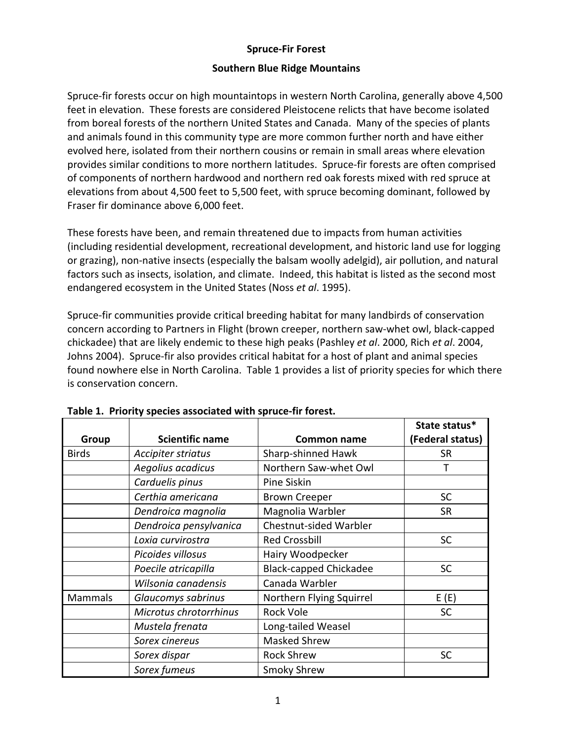### **Spruce‐Fir Forest**

### **Southern Blue Ridge Mountains**

Spruce‐fir forests occur on high mountaintops in western North Carolina, generally above 4,500 feet in elevation. These forests are considered Pleistocene relicts that have become isolated from boreal forests of the northern United States and Canada. Many of the species of plants and animals found in this community type are more common further north and have either evolved here, isolated from their northern cousins or remain in small areas where elevation provides similar conditions to more northern latitudes. Spruce‐fir forests are often comprised of components of northern hardwood and northern red oak forests mixed with red spruce at elevations from about 4,500 feet to 5,500 feet, with spruce becoming dominant, followed by Fraser fir dominance above 6,000 feet.

These forests have been, and remain threatened due to impacts from human activities (including residential development, recreational development, and historic land use for logging or grazing), non‐native insects (especially the balsam woolly adelgid), air pollution, and natural factors such as insects, isolation, and climate. Indeed, this habitat is listed as the second most endangered ecosystem in the United States (Noss *et al*. 1995).

Spruce‐fir communities provide critical breeding habitat for many landbirds of conservation concern according to Partners in Flight (brown creeper, northern saw‐whet owl, black‐capped chickadee) that are likely endemic to these high peaks (Pashley *et al*. 2000, Rich *et al*. 2004, Johns 2004). Spruce‐fir also provides critical habitat for a host of plant and animal species found nowhere else in North Carolina. Table 1 provides a list of priority species for which there is conservation concern.

|                |                        |                               | State status*    |
|----------------|------------------------|-------------------------------|------------------|
| Group          | <b>Scientific name</b> | Common name                   | (Federal status) |
| <b>Birds</b>   | Accipiter striatus     | Sharp-shinned Hawk            | <b>SR</b>        |
|                | Aegolius acadicus      | Northern Saw-whet Owl         |                  |
|                | Carduelis pinus        | Pine Siskin                   |                  |
|                | Certhia americana      | <b>Brown Creeper</b>          | <b>SC</b>        |
|                | Dendroica magnolia     | Magnolia Warbler              | <b>SR</b>        |
|                | Dendroica pensylvanica | Chestnut-sided Warbler        |                  |
|                | Loxia curvirostra      | <b>Red Crossbill</b>          | <b>SC</b>        |
|                | Picoides villosus      | Hairy Woodpecker              |                  |
|                | Poecile atricapilla    | <b>Black-capped Chickadee</b> | <b>SC</b>        |
|                | Wilsonia canadensis    | Canada Warbler                |                  |
| <b>Mammals</b> | Glaucomys sabrinus     | Northern Flying Squirrel      | E(E)             |
|                | Microtus chrotorrhinus | <b>Rock Vole</b>              | <b>SC</b>        |
|                | Mustela frenata        | Long-tailed Weasel            |                  |
|                | Sorex cinereus         | <b>Masked Shrew</b>           |                  |
|                | Sorex dispar           | <b>Rock Shrew</b>             | <b>SC</b>        |
|                | Sorex fumeus           | <b>Smoky Shrew</b>            |                  |

#### **Table 1. Priority species associated with spruce‐fir forest.**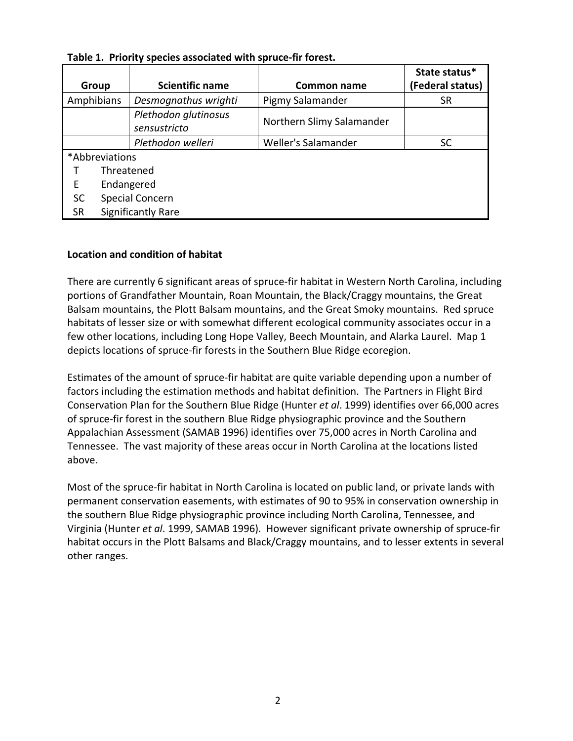| Group          | <b>Scientific name</b>    | Common name               | State status*<br>(Federal status) |  |
|----------------|---------------------------|---------------------------|-----------------------------------|--|
|                |                           |                           |                                   |  |
| Amphibians     | Desmognathus wrighti      | Pigmy Salamander          | SR                                |  |
|                | Plethodon glutinosus      | Northern Slimy Salamander |                                   |  |
|                | sensustricto              |                           |                                   |  |
|                | Plethodon welleri         | Weller's Salamander       | SC                                |  |
| *Abbreviations |                           |                           |                                   |  |
|                | Threatened                |                           |                                   |  |
| Е              | Endangered                |                           |                                   |  |
| <b>SC</b>      | Special Concern           |                           |                                   |  |
| <b>SR</b>      | <b>Significantly Rare</b> |                           |                                   |  |

**Table 1. Priority species associated with spruce‐fir forest.**

### **Location and condition of habitat**

There are currently 6 significant areas of spruce‐fir habitat in Western North Carolina, including portions of Grandfather Mountain, Roan Mountain, the Black/Craggy mountains, the Great Balsam mountains, the Plott Balsam mountains, and the Great Smoky mountains. Red spruce habitats of lesser size or with somewhat different ecological community associates occur in a few other locations, including Long Hope Valley, Beech Mountain, and Alarka Laurel. Map 1 depicts locations of spruce‐fir forests in the Southern Blue Ridge ecoregion.

Estimates of the amount of spruce‐fir habitat are quite variable depending upon a number of factors including the estimation methods and habitat definition. The Partners in Flight Bird Conservation Plan for the Southern Blue Ridge (Hunter *et al*. 1999) identifies over 66,000 acres of spruce‐fir forest in the southern Blue Ridge physiographic province and the Southern Appalachian Assessment (SAMAB 1996) identifies over 75,000 acres in North Carolina and Tennessee. The vast majority of these areas occur in North Carolina at the locations listed above.

Most of the spruce‐fir habitat in North Carolina is located on public land, or private lands with permanent conservation easements, with estimates of 90 to 95% in conservation ownership in the southern Blue Ridge physiographic province including North Carolina, Tennessee, and Virginia (Hunter *et al*. 1999, SAMAB 1996). However significant private ownership of spruce‐fir habitat occurs in the Plott Balsams and Black/Craggy mountains, and to lesser extents in several other ranges.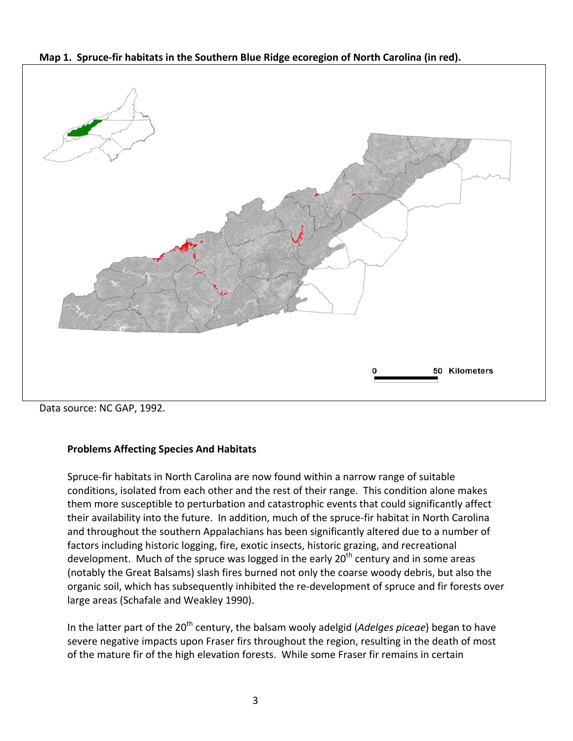Map 1. Spruce-fir habitats in the Southern Blue Ridge ecoregion of North Carolina (in red).



Data source: NC GAP, 1992.

# **Problems Affecting Species And Habitats**

Spruce‐fir habitats in North Carolina are now found within a narrow range of suitable conditions, isolated from each other and the rest of their range. This condition alone makes them more susceptible to perturbation and catastrophic events that could significantly affect their availability into the future. In addition, much of the spruce‐fir habitat in North Carolina and throughout the southern Appalachians has been significantly altered due to a number of factors including historic logging, fire, exotic insects, historic grazing, and recreational development. Much of the spruce was logged in the early  $20<sup>th</sup>$  century and in some areas (notably the Great Balsams) slash fires burned not only the coarse woody debris, but also the organic soil, which has subsequently inhibited the re‐development of spruce and fir forests over large areas (Schafale and Weakley 1990).

In the latter part of the 20<sup>th</sup> century, the balsam wooly adelgid (*Adelges piceae*) began to have severe negative impacts upon Fraser firs throughout the region, resulting in the death of most of the mature fir of the high elevation forests. While some Fraser fir remains in certain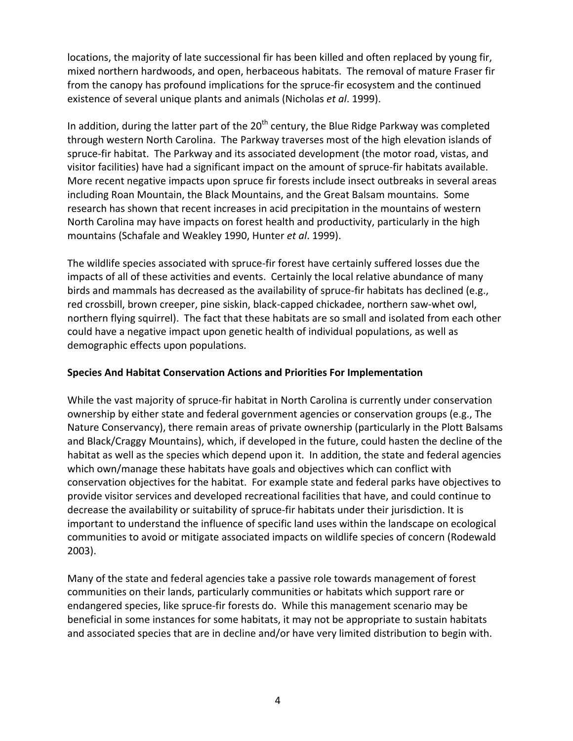locations, the majority of late successional fir has been killed and often replaced by young fir, mixed northern hardwoods, and open, herbaceous habitats. The removal of mature Fraser fir from the canopy has profound implications for the spruce-fir ecosystem and the continued existence of several unique plants and animals (Nicholas *et al*. 1999).

In addition, during the latter part of the  $20<sup>th</sup>$  century, the Blue Ridge Parkway was completed through western North Carolina. The Parkway traverses most of the high elevation islands of spruce-fir habitat. The Parkway and its associated development (the motor road, vistas, and visitor facilities) have had a significant impact on the amount of spruce‐fir habitats available. More recent negative impacts upon spruce fir forests include insect outbreaks in several areas including Roan Mountain, the Black Mountains, and the Great Balsam mountains. Some research has shown that recent increases in acid precipitation in the mountains of western North Carolina may have impacts on forest health and productivity, particularly in the high mountains (Schafale and Weakley 1990, Hunter *et al*. 1999).

The wildlife species associated with spruce‐fir forest have certainly suffered losses due the impacts of all of these activities and events. Certainly the local relative abundance of many birds and mammals has decreased as the availability of spruce-fir habitats has declined (e.g., red crossbill, brown creeper, pine siskin, black‐capped chickadee, northern saw‐whet owl, northern flying squirrel). The fact that these habitats are so small and isolated from each other could have a negative impact upon genetic health of individual populations, as well as demographic effects upon populations.

# **Species And Habitat Conservation Actions and Priorities For Implementation**

While the vast majority of spruce‐fir habitat in North Carolina is currently under conservation ownership by either state and federal government agencies or conservation groups (e.g., The Nature Conservancy), there remain areas of private ownership (particularly in the Plott Balsams and Black/Craggy Mountains), which, if developed in the future, could hasten the decline of the habitat as well as the species which depend upon it. In addition, the state and federal agencies which own/manage these habitats have goals and objectives which can conflict with conservation objectives for the habitat. For example state and federal parks have objectives to provide visitor services and developed recreational facilities that have, and could continue to decrease the availability or suitability of spruce‐fir habitats under their jurisdiction. It is important to understand the influence of specific land uses within the landscape on ecological communities to avoid or mitigate associated impacts on wildlife species of concern (Rodewald 2003).

Many of the state and federal agencies take a passive role towards management of forest communities on their lands, particularly communities or habitats which support rare or endangered species, like spruce‐fir forests do. While this management scenario may be beneficial in some instances for some habitats, it may not be appropriate to sustain habitats and associated species that are in decline and/or have very limited distribution to begin with.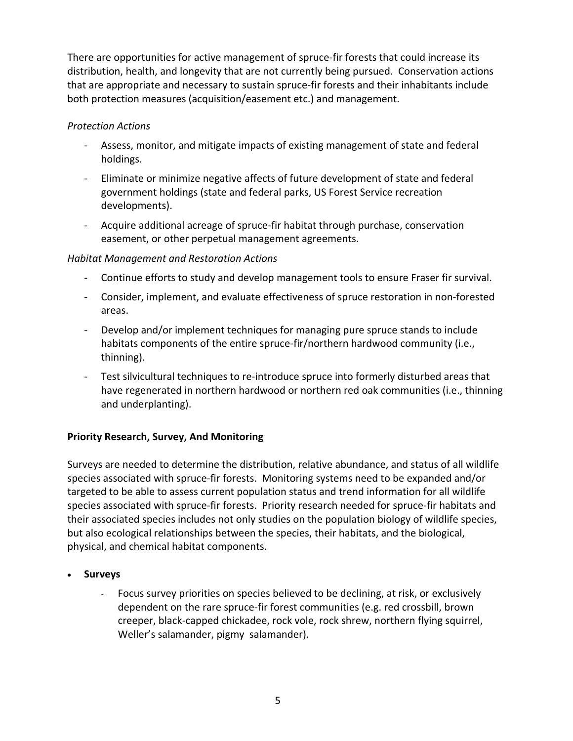There are opportunities for active management of spruce-fir forests that could increase its distribution, health, and longevity that are not currently being pursued. Conservation actions that are appropriate and necessary to sustain spruce‐fir forests and their inhabitants include both protection measures (acquisition/easement etc.) and management.

# *Protection Actions*

- ‐ Assess, monitor, and mitigate impacts of existing management of state and federal holdings.
- ‐ Eliminate or minimize negative affects of future development of state and federal government holdings (state and federal parks, US Forest Service recreation developments).
- ‐ Acquire additional acreage of spruce‐fir habitat through purchase, conservation easement, or other perpetual management agreements.

# *Habitat Management and Restoration Actions*

- ‐ Continue efforts to study and develop management tools to ensure Fraser fir survival.
- ‐ Consider, implement, and evaluate effectiveness of spruce restoration in non‐forested areas.
- ‐ Develop and/or implement techniques for managing pure spruce stands to include habitats components of the entire spruce-fir/northern hardwood community (i.e., thinning).
- ‐ Test silvicultural techniques to re‐introduce spruce into formerly disturbed areas that have regenerated in northern hardwood or northern red oak communities (i.e., thinning and underplanting).

# **Priority Research, Survey, And Monitoring**

Surveys are needed to determine the distribution, relative abundance, and status of all wildlife species associated with spruce‐fir forests. Monitoring systems need to be expanded and/or targeted to be able to assess current population status and trend information for all wildlife species associated with spruce‐fir forests. Priority research needed for spruce‐fir habitats and their associated species includes not only studies on the population biology of wildlife species, but also ecological relationships between the species, their habitats, and the biological, physical, and chemical habitat components.

- **Surveys**
	- ‐ Focus survey priorities on species believed to be declining, at risk, or exclusively dependent on the rare spruce‐fir forest communities (e.g. red crossbill, brown creeper, black‐capped chickadee, rock vole, rock shrew, northern flying squirrel, Weller's salamander, pigmy salamander).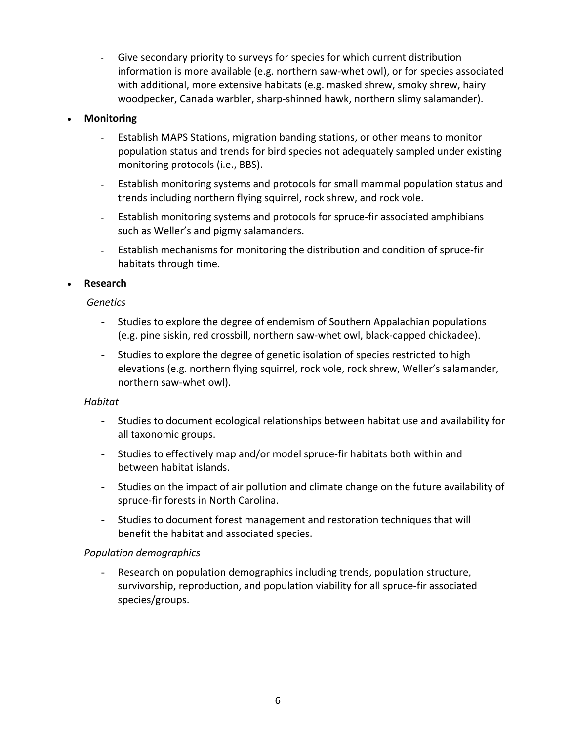‐ Give secondary priority to surveys for species for which current distribution information is more available (e.g. northern saw‐whet owl), or for species associated with additional, more extensive habitats (e.g. masked shrew, smoky shrew, hairy woodpecker, Canada warbler, sharp-shinned hawk, northern slimy salamander).

### **Monitoring**

- Establish MAPS Stations, migration banding stations, or other means to monitor population status and trends for bird species not adequately sampled under existing monitoring protocols (i.e., BBS).
- Establish monitoring systems and protocols for small mammal population status and trends including northern flying squirrel, rock shrew, and rock vole.
- Establish monitoring systems and protocols for spruce‐fir associated amphibians such as Weller's and pigmy salamanders.
- Establish mechanisms for monitoring the distribution and condition of spruce‐fir habitats through time.

### **Research**

#### *Genetics*

- Studies to explore the degree of endemism of Southern Appalachian populations (e.g. pine siskin, red crossbill, northern saw‐whet owl, black‐capped chickadee).
- Studies to explore the degree of genetic isolation of species restricted to high elevations (e.g. northern flying squirrel, rock vole, rock shrew, Weller's salamander, northern saw‐whet owl).

#### *Habitat*

- Studies to document ecological relationships between habitat use and availability for all taxonomic groups.
- Studies to effectively map and/or model spruce‐fir habitats both within and between habitat islands.
- Studies on the impact of air pollution and climate change on the future availability of spruce‐fir forests in North Carolina.
- Studies to document forest management and restoration techniques that will benefit the habitat and associated species.

#### *Population demographics*

Research on population demographics including trends, population structure, survivorship, reproduction, and population viability for all spruce‐fir associated species/groups.